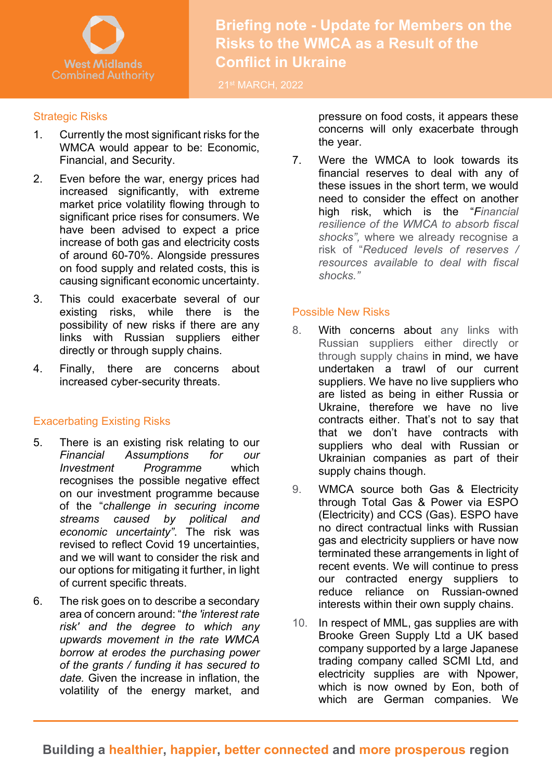

**Briefing note - Update for Members on the Risks to the WMCA as a Result of the Conflict in Ukraine**

21st MARCH, 2022

### Strategic Risks

- WMCA would appear to be: Economic, 1. Currently the most significant risks for the Financial, and Security.
- 2. Even before the war, energy prices had increased significantly, with extreme market price volatility flowing through to significant price rises for consumers. We have been advised to expect a price increase of both gas and electricity costs of around 60-70%. Alongside pressures on food supply and related costs, this is causing significant economic uncertainty.
- 3. This could exacerbate several of our existing risks, while there is the possibility of new risks if there are any links with Russian suppliers either directly or through supply chains.
- 4. Finally, there are concerns about increased cyber-security threats.

# Exacerbating Existing Risks

- 5. There is an existing risk relating to our *Financial Assumptions for our Investment Programme* which recognises the possible negative effect on our investment programme because of the "*challenge in securing income streams caused by political and economic uncertainty"*. The risk was revised to reflect Covid 19 uncertainties, and we will want to consider the risk and our options for mitigating it further, in light of current specific threats.
- 6. The risk goes on to describe a secondary area of concern around: "*the 'interest rate risk' and the degree to which any upwards movement in the rate WMCA borrow at erodes the purchasing power of the grants / funding it has secured to date.* Given the increase in inflation, the volatility of the energy market, and

pressure on food costs, it appears these concerns will only exacerbate through the year.

7. Were the WMCA to look towards its financial reserves to deal with any of these issues in the short term, we would need to consider the effect on another high risk, which is the "*Financial resilience of the WMCA to absorb fiscal shocks",* where we already recognise a risk of "*Reduced levels of reserves / resources available to deal with fiscal shocks."* 

### Possible New Risks

- 8. With concerns about any links with Russian suppliers either directly or through supply chains in mind, we have undertaken a trawl of our current suppliers. We have no live suppliers who are listed as being in either Russia or Ukraine, therefore we have no live contracts either. That's not to say that that we don't have contracts with suppliers who deal with Russian or Ukrainian companies as part of their supply chains though.
- 9. WMCA source both Gas & Electricity through Total Gas & Power via ESPO (Electricity) and CCS (Gas). ESPO have no direct contractual links with Russian gas and electricity suppliers or have now terminated these arrangements in light of recent events. We will continue to press our contracted energy suppliers to reduce reliance on Russian-owned interests within their own supply chains.
- 10. In respect of MML, gas supplies are with Brooke Green Supply Ltd a UK based company supported by a large Japanese trading company called SCMI Ltd, and electricity supplies are with Npower, which is now owned by Eon, both of which are German companies. We